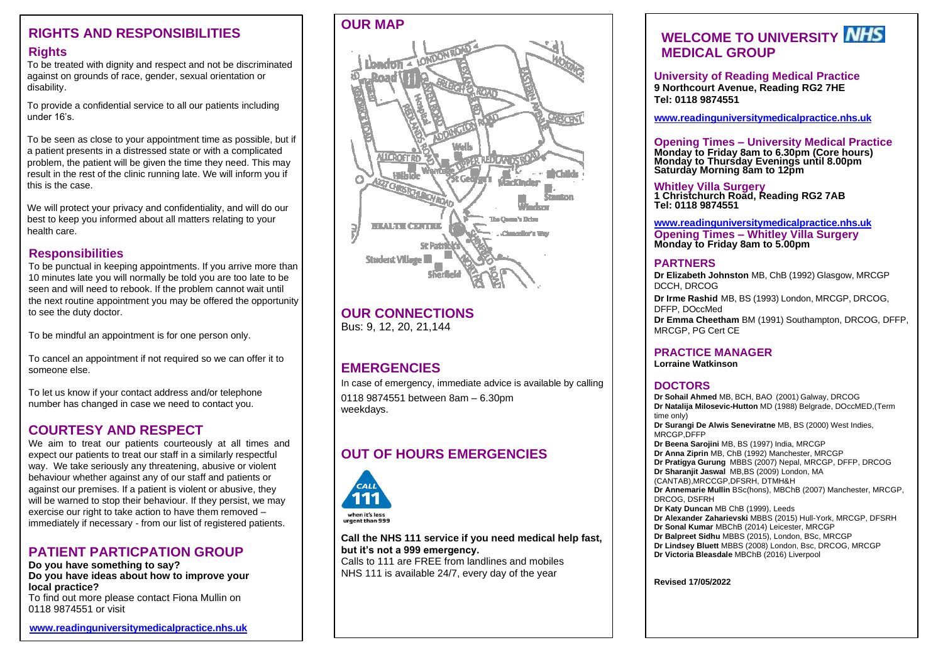#### **RIGHTS AND RESPONSIBILITIES Rights**

To be treated with dignity and respect and not be discriminated against on grounds of race, gender, sexual orientation or disability.

To provide a confidential service to all our patients including under 16's.

To be seen as close to your appointment time as possible, but if a patient presents in a distressed state or with a complicated problem, the patient will be given the time they need. This may result in the rest of the clinic running late. We will inform you if this is the case.

We will protect your privacy and confidentiality, and will do our best to keep you informed about all matters relating to your health care.

#### **Responsibilities**

To be punctual in keeping appointments. If you arrive more than 10 minutes late you will normally be told you are too late to be seen and will need to rebook. If the problem cannot wait until the next routine appointment you may be offered the opportunity to see the duty doctor.

To be mindful an appointment is for one person only.

To cancel an appointment if not required so we can offer it to someone else.

To let us know if your contact address and/or telephone number has changed in case we need to contact you.

### **COURTESY AND RESPECT**

We aim to treat our patients courteously at all times and expect our patients to treat our staff in a similarly respectful way. We take seriously any threatening, abusive or violent behaviour whether against any of our staff and patients or against our premises. If a patient is violent or abusive, they will be warned to stop their behaviour. If they persist, we may exercise our right to take action to have them removed – immediately if necessary - from our list of registered patients.

#### **PATIENT PARTICPATION GROUP**

**Do you have something to say? Do you have ideas about how to improve your local practice?** To find out more please contact Fiona Mullin on 0118 9874551 or visit

**[www.readinguniversitymedicalpractice.nhs.uk](http://www.readinguniversitymedicalpractice.nhs.uk/)**



# **OUR CONNECTIONS**

Bus: 9, 12, 20, 21,144

### **EMERGENCIES**

In case of emergency, immediate advice is available by calling 0118 9874551 between 8am – 6.30pm

weekdays.

# **OUT OF HOURS EMERGENCIES**



**Call the NHS 111 service if you need medical help fast, but it's not a 999 emergency.**

Calls to 111 are FREE from landlines and mobiles NHS 111 is available 24/7, every day of the year

# **WELCOME TO UNIVERSITY MEDICAL GROUP**

**University of Reading Medical Practice 9 Northcourt Avenue, Reading RG2 7HE Tel: 0118 9874551**

**[www.readinguniversitymedicalpractice.nhs.uk](http://www.readinguniversitymedicalpractice.nhs.uk/)**

**Opening Times – University Medical Practice Monday to Friday 8am to 6.30pm (Core hours) Monday to Thursday Evenings until 8.00pm Saturday Morning 8am to 12pm** 

**Whitley Villa Surgery 1 Christchurch Road, Reading RG2 7AB Tel: 0118 9874551**

**[www.readinguniversitymedicalpractice.nhs.uk](http://www.readinguniversitymedicalpractice.nhs.uk/) Opening Times – Whitley Villa Surgery Monday to Friday 8am to 5.00pm**

#### **PARTNERS**

**Dr Elizabeth Johnston** MB, ChB (1992) Glasgow, MRCGP DCCH, DRCOG **Dr Irme Rashid** MB, BS (1993) London, MRCGP, DRCOG, DFFP, DOccMed **Dr Emma Cheetham** BM (1991) Southampton, DRCOG, DFFP, MRCGP, PG Cert CE

#### **PRACTICE MANAGER**

**Lorraine Watkinson**

#### **DOCTORS**

**Dr Sohail Ahmed** MB, BCH, BAO (2001) Galway, DRCOG **Dr Natalija Milosevic-Hutton** MD (1988) Belgrade, DOccMED,(Term time only) **Dr Surangi De Alwis Seneviratne** MB, BS (2000) West Indies, MRCGP,DFFP **Dr Beena Sarojini** MB, BS (1997) India, MRCGP **Dr Anna Ziprin** MB, ChB (1992) Manchester, MRCGP **Dr Pratigya Gurung** MBBS (2007) Nepal, MRCGP, DFFP, DRCOG **Dr Sharanjit Jaswal** MB,BS (2009) London, MA (CANTAB),MRCCGP,DFSRH, DTMH&H **Dr Annemarie Mullin** BSc(hons), MBChB (2007) Manchester, MRCGP, DRCOG, DSFRH **Dr Katy Duncan** MB ChB (1999), Leeds **Dr Alexander Zaharievski** MBBS (2015) Hull-York, MRCGP, DFSRH **Dr Sonal Kumar** MBChB (2014) Leicester, MRCGP **Dr Balpreet Sidhu** MBBS (2015), London, BSc, MRCGP **Dr Lindsey Bluett** MBBS (2008) London, Bsc, DRCOG, MRCGP **Dr Victoria Bleasdale** MBChB (2016) Liverpool

**Revised 17/05/2022**